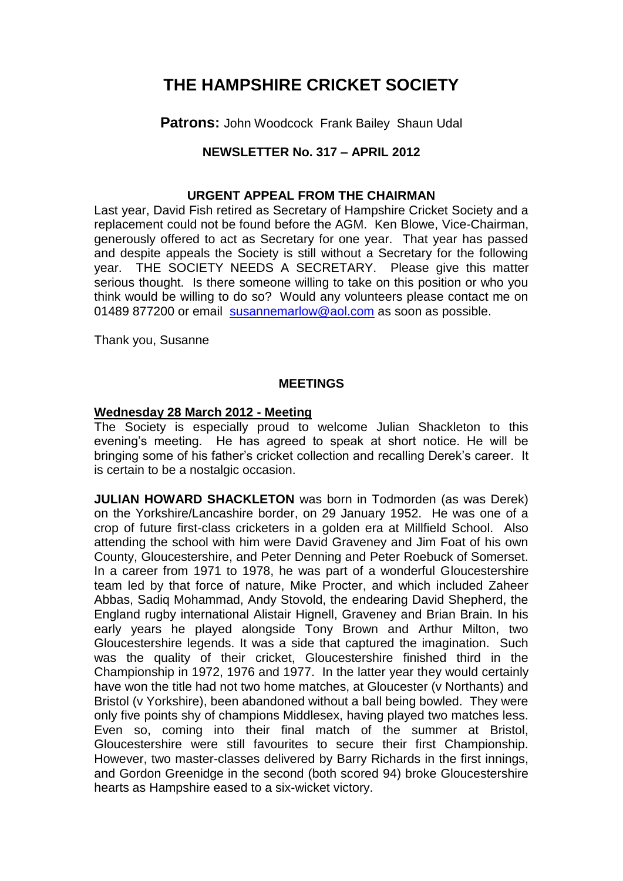# **THE HAMPSHIRE CRICKET SOCIETY**

**Patrons: John Woodcock Frank Bailey Shaun Udal** 

# **NEWSLETTER No. 317 – APRIL 2012**

## **URGENT APPEAL FROM THE CHAIRMAN**

Last year, David Fish retired as Secretary of Hampshire Cricket Society and a replacement could not be found before the AGM. Ken Blowe, Vice-Chairman, generously offered to act as Secretary for one year. That year has passed and despite appeals the Society is still without a Secretary for the following year. THE SOCIETY NEEDS A SECRETARY. Please give this matter serious thought. Is there someone willing to take on this position or who you think would be willing to do so? Would any volunteers please contact me on 01489 877200 or email [susannemarlow@aol.com](mailto:susannemarlow@aol.com) as soon as possible.

Thank you, Susanne

## **MEETINGS**

## **Wednesday 28 March 2012 - Meeting**

The Society is especially proud to welcome Julian Shackleton to this evening's meeting. He has agreed to speak at short notice. He will be bringing some of his father's cricket collection and recalling Derek's career. It is certain to be a nostalgic occasion.

**JULIAN HOWARD SHACKLETON** was born in Todmorden (as was Derek) on the Yorkshire/Lancashire border, on 29 January 1952. He was one of a crop of future first-class cricketers in a golden era at Millfield School. Also attending the school with him were David Graveney and Jim Foat of his own County, Gloucestershire, and Peter Denning and Peter Roebuck of Somerset. In a career from 1971 to 1978, he was part of a wonderful Gloucestershire team led by that force of nature, Mike Procter, and which included Zaheer Abbas, Sadiq Mohammad, Andy Stovold, the endearing David Shepherd, the England rugby international Alistair Hignell, Graveney and Brian Brain. In his early years he played alongside Tony Brown and Arthur Milton, two Gloucestershire legends. It was a side that captured the imagination. Such was the quality of their cricket, Gloucestershire finished third in the Championship in 1972, 1976 and 1977. In the latter year they would certainly have won the title had not two home matches, at Gloucester (v Northants) and Bristol (v Yorkshire), been abandoned without a ball being bowled. They were only five points shy of champions Middlesex, having played two matches less. Even so, coming into their final match of the summer at Bristol, Gloucestershire were still favourites to secure their first Championship. However, two master-classes delivered by Barry Richards in the first innings, and Gordon Greenidge in the second (both scored 94) broke Gloucestershire hearts as Hampshire eased to a six-wicket victory.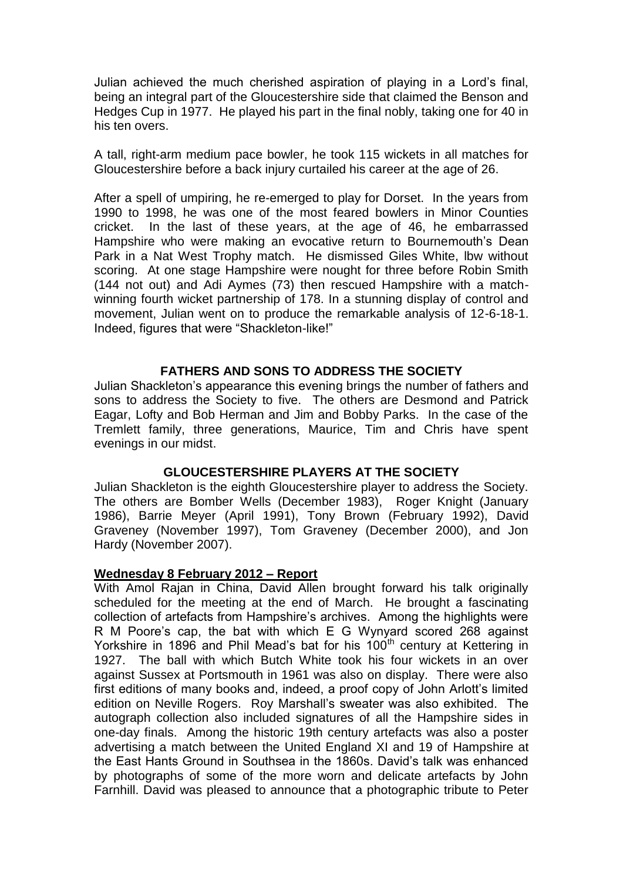Julian achieved the much cherished aspiration of playing in a Lord's final, being an integral part of the Gloucestershire side that claimed the Benson and Hedges Cup in 1977. He played his part in the final nobly, taking one for 40 in his ten overs.

A tall, right-arm medium pace bowler, he took 115 wickets in all matches for Gloucestershire before a back injury curtailed his career at the age of 26.

After a spell of umpiring, he re-emerged to play for Dorset. In the years from 1990 to 1998, he was one of the most feared bowlers in Minor Counties cricket. In the last of these years, at the age of 46, he embarrassed Hampshire who were making an evocative return to Bournemouth's Dean Park in a Nat West Trophy match. He dismissed Giles White, lbw without scoring. At one stage Hampshire were nought for three before Robin Smith (144 not out) and Adi Aymes (73) then rescued Hampshire with a matchwinning fourth wicket partnership of 178. In a stunning display of control and movement, Julian went on to produce the remarkable analysis of 12-6-18-1. Indeed, figures that were "Shackleton-like!"

## **FATHERS AND SONS TO ADDRESS THE SOCIETY**

Julian Shackleton's appearance this evening brings the number of fathers and sons to address the Society to five. The others are Desmond and Patrick Eagar, Lofty and Bob Herman and Jim and Bobby Parks. In the case of the Tremlett family, three generations, Maurice, Tim and Chris have spent evenings in our midst.

## **GLOUCESTERSHIRE PLAYERS AT THE SOCIETY**

Julian Shackleton is the eighth Gloucestershire player to address the Society. The others are Bomber Wells (December 1983), Roger Knight (January 1986), Barrie Meyer (April 1991), Tony Brown (February 1992), David Graveney (November 1997), Tom Graveney (December 2000), and Jon Hardy (November 2007).

## **Wednesday 8 February 2012 – Report**

With Amol Rajan in China, David Allen brought forward his talk originally scheduled for the meeting at the end of March. He brought a fascinating collection of artefacts from Hampshire's archives. Among the highlights were R M Poore's cap, the bat with which E G Wynyard scored 268 against Yorkshire in 1896 and Phil Mead's bat for his 100<sup>th</sup> century at Kettering in 1927. The ball with which Butch White took his four wickets in an over against Sussex at Portsmouth in 1961 was also on display. There were also first editions of many books and, indeed, a proof copy of John Arlott's limited edition on Neville Rogers. Roy Marshall's sweater was also exhibited. The autograph collection also included signatures of all the Hampshire sides in one-day finals. Among the historic 19th century artefacts was also a poster advertising a match between the United England XI and 19 of Hampshire at the East Hants Ground in Southsea in the 1860s. David's talk was enhanced by photographs of some of the more worn and delicate artefacts by John Farnhill. David was pleased to announce that a photographic tribute to Peter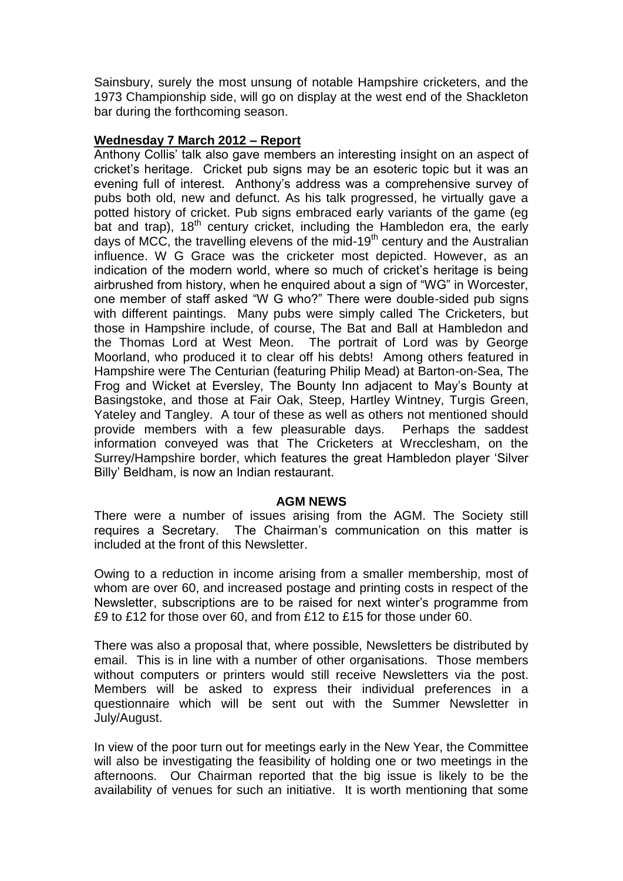Sainsbury, surely the most unsung of notable Hampshire cricketers, and the 1973 Championship side, will go on display at the west end of the Shackleton bar during the forthcoming season.

# **Wednesday 7 March 2012 – Report**

Anthony Collis' talk also gave members an interesting insight on an aspect of cricket's heritage. Cricket pub signs may be an esoteric topic but it was an evening full of interest. Anthony's address was a comprehensive survey of pubs both old, new and defunct. As his talk progressed, he virtually gave a potted history of cricket. Pub signs embraced early variants of the game (eg bat and trap),  $18^{th}$  century cricket, including the Hambledon era, the early days of MCC, the travelling elevens of the mid-19<sup>th</sup> century and the Australian influence. W G Grace was the cricketer most depicted. However, as an indication of the modern world, where so much of cricket's heritage is being airbrushed from history, when he enquired about a sign of "WG" in Worcester, one member of staff asked "W G who?" There were double-sided pub signs with different paintings. Many pubs were simply called The Cricketers, but those in Hampshire include, of course, The Bat and Ball at Hambledon and the Thomas Lord at West Meon. The portrait of Lord was by George Moorland, who produced it to clear off his debts! Among others featured in Hampshire were The Centurian (featuring Philip Mead) at Barton-on-Sea, The Frog and Wicket at Eversley, The Bounty Inn adjacent to May's Bounty at Basingstoke, and those at Fair Oak, Steep, Hartley Wintney, Turgis Green, Yateley and Tangley. A tour of these as well as others not mentioned should provide members with a few pleasurable days. Perhaps the saddest information conveyed was that The Cricketers at Wrecclesham, on the Surrey/Hampshire border, which features the great Hambledon player 'Silver Billy' Beldham, is now an Indian restaurant.

# **AGM NEWS**

There were a number of issues arising from the AGM. The Society still requires a Secretary. The Chairman's communication on this matter is included at the front of this Newsletter.

Owing to a reduction in income arising from a smaller membership, most of whom are over 60, and increased postage and printing costs in respect of the Newsletter, subscriptions are to be raised for next winter's programme from £9 to £12 for those over 60, and from £12 to £15 for those under 60.

There was also a proposal that, where possible, Newsletters be distributed by email. This is in line with a number of other organisations. Those members without computers or printers would still receive Newsletters via the post. Members will be asked to express their individual preferences in a questionnaire which will be sent out with the Summer Newsletter in July/August.

In view of the poor turn out for meetings early in the New Year, the Committee will also be investigating the feasibility of holding one or two meetings in the afternoons. Our Chairman reported that the big issue is likely to be the availability of venues for such an initiative. It is worth mentioning that some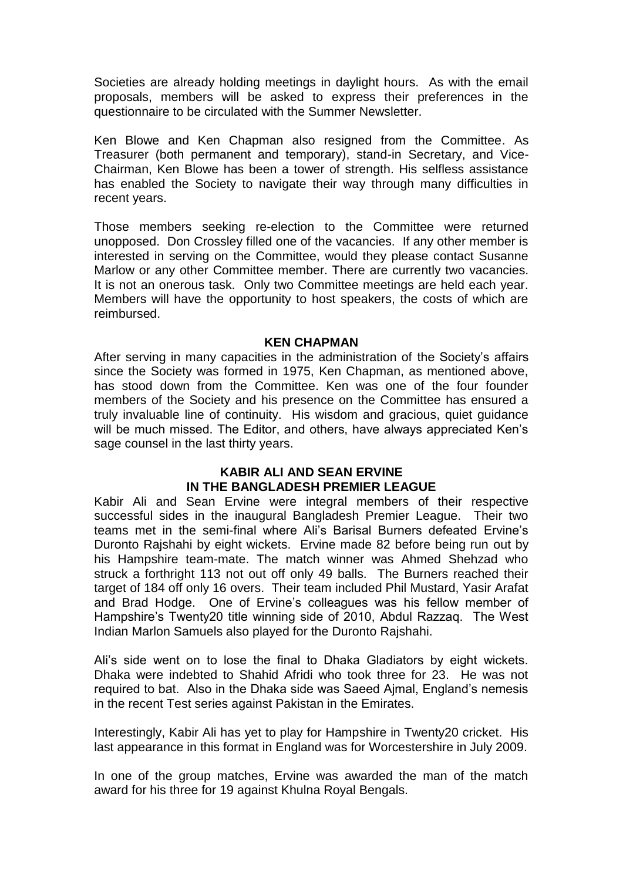Societies are already holding meetings in daylight hours. As with the email proposals, members will be asked to express their preferences in the questionnaire to be circulated with the Summer Newsletter.

Ken Blowe and Ken Chapman also resigned from the Committee. As Treasurer (both permanent and temporary), stand-in Secretary, and Vice-Chairman, Ken Blowe has been a tower of strength. His selfless assistance has enabled the Society to navigate their way through many difficulties in recent years.

Those members seeking re-election to the Committee were returned unopposed. Don Crossley filled one of the vacancies. If any other member is interested in serving on the Committee, would they please contact Susanne Marlow or any other Committee member. There are currently two vacancies. It is not an onerous task. Only two Committee meetings are held each year. Members will have the opportunity to host speakers, the costs of which are reimbursed.

#### **KEN CHAPMAN**

After serving in many capacities in the administration of the Society's affairs since the Society was formed in 1975, Ken Chapman, as mentioned above, has stood down from the Committee. Ken was one of the four founder members of the Society and his presence on the Committee has ensured a truly invaluable line of continuity. His wisdom and gracious, quiet guidance will be much missed. The Editor, and others, have always appreciated Ken's sage counsel in the last thirty years.

## **KABIR ALI AND SEAN ERVINE IN THE BANGLADESH PREMIER LEAGUE**

Kabir Ali and Sean Ervine were integral members of their respective successful sides in the inaugural Bangladesh Premier League. Their two teams met in the semi-final where Ali's Barisal Burners defeated Ervine's Duronto Rajshahi by eight wickets. Ervine made 82 before being run out by his Hampshire team-mate. The match winner was Ahmed Shehzad who struck a forthright 113 not out off only 49 balls. The Burners reached their target of 184 off only 16 overs. Their team included Phil Mustard, Yasir Arafat and Brad Hodge. One of Ervine's colleagues was his fellow member of Hampshire's Twenty20 title winning side of 2010, Abdul Razzaq. The West Indian Marlon Samuels also played for the Duronto Rajshahi.

Ali's side went on to lose the final to Dhaka Gladiators by eight wickets. Dhaka were indebted to Shahid Afridi who took three for 23. He was not required to bat. Also in the Dhaka side was Saeed Ajmal, England's nemesis in the recent Test series against Pakistan in the Emirates.

Interestingly, Kabir Ali has yet to play for Hampshire in Twenty20 cricket. His last appearance in this format in England was for Worcestershire in July 2009.

In one of the group matches, Ervine was awarded the man of the match award for his three for 19 against Khulna Royal Bengals.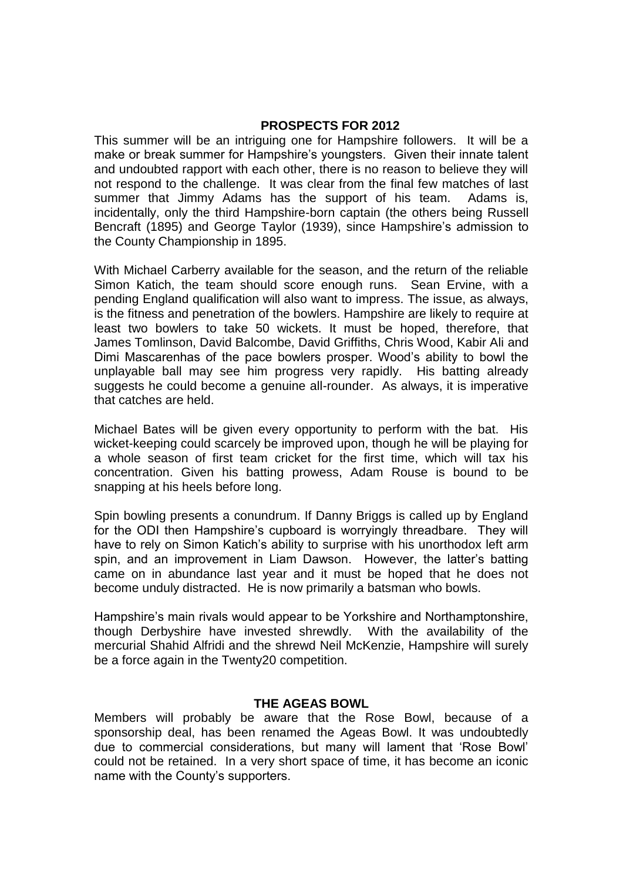## **PROSPECTS FOR 2012**

This summer will be an intriguing one for Hampshire followers. It will be a make or break summer for Hampshire's youngsters. Given their innate talent and undoubted rapport with each other, there is no reason to believe they will not respond to the challenge. It was clear from the final few matches of last summer that Jimmy Adams has the support of his team. Adams is, incidentally, only the third Hampshire-born captain (the others being Russell Bencraft (1895) and George Taylor (1939), since Hampshire's admission to the County Championship in 1895.

With Michael Carberry available for the season, and the return of the reliable Simon Katich, the team should score enough runs. Sean Ervine, with a pending England qualification will also want to impress. The issue, as always, is the fitness and penetration of the bowlers. Hampshire are likely to require at least two bowlers to take 50 wickets. It must be hoped, therefore, that James Tomlinson, David Balcombe, David Griffiths, Chris Wood, Kabir Ali and Dimi Mascarenhas of the pace bowlers prosper. Wood's ability to bowl the unplayable ball may see him progress very rapidly. His batting already suggests he could become a genuine all-rounder. As always, it is imperative that catches are held.

Michael Bates will be given every opportunity to perform with the bat. His wicket-keeping could scarcely be improved upon, though he will be playing for a whole season of first team cricket for the first time, which will tax his concentration. Given his batting prowess, Adam Rouse is bound to be snapping at his heels before long.

Spin bowling presents a conundrum. If Danny Briggs is called up by England for the ODI then Hampshire's cupboard is worryingly threadbare. They will have to rely on Simon Katich's ability to surprise with his unorthodox left arm spin, and an improvement in Liam Dawson. However, the latter's batting came on in abundance last year and it must be hoped that he does not become unduly distracted. He is now primarily a batsman who bowls.

Hampshire's main rivals would appear to be Yorkshire and Northamptonshire, though Derbyshire have invested shrewdly. With the availability of the mercurial Shahid Alfridi and the shrewd Neil McKenzie, Hampshire will surely be a force again in the Twenty20 competition.

## **THE AGEAS BOWL**

Members will probably be aware that the Rose Bowl, because of a sponsorship deal, has been renamed the Ageas Bowl. It was undoubtedly due to commercial considerations, but many will lament that 'Rose Bowl' could not be retained. In a very short space of time, it has become an iconic name with the County's supporters.